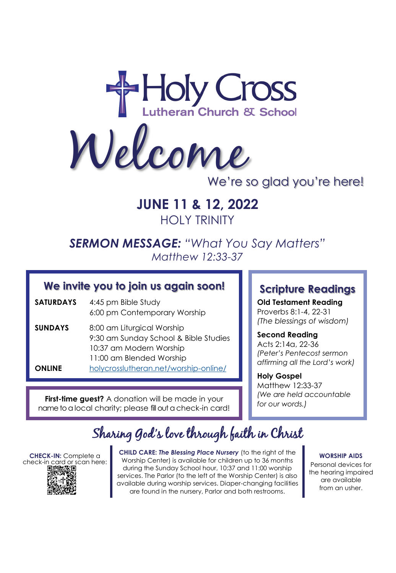

Welcome

We're so glad you're here!

## **JUNE 11 & 12, 2022** HOLY TRINITY

*SERMON MESSAGE: "What You Say Matters" Matthew 12:33-37*

### **We invite you to join us again soon!**

- **SATURDAYS** 4:45 pm Bible Study 6:00 pm Contemporary Worship
- **SUNDAYS** 8:00 am Liturgical Worship 9:30 am Sunday School & Bible Studies 10:37 am Modern Worship 11:00 am Blended Worship **ONLINE** [holycrosslutheran.net/worship-online/](https://holycrosslutheran.net/worship-online/)

**First-time guest?** A donation will be made in your name to a local charity; please fill out a check-in card!

### **Scripture Readings**

**Old Testament Reading** Proverbs 8:1-4, 22-31 *(The blessings of wisdom)*

**Second Reading** Acts 2:14a, 22-36 *(Peter's Pentecost sermon affirming all the Lord's work)*

**Holy Gospel** Matthew 12:33-37 *(We are held accountable for our words.)*

# Sharing God's love through faith in Christ

**CHECK-IN:** Complete a check-in card or scan here:<br> **ELITALLY DE** 



**CHILD CARE:** *The Blessing Place Nursery* (to the right of the Worship Center) is available for children up to 36 months during the Sunday School hour, 10:37 and 11:00 worship services. The Parlor (to the left of the Worship Center) is also available during worship services. Diaper-changing facilities are found in the nursery, Parlor and both restrooms.

**WORSHIP AIDS**

Personal devices for the hearing impaired are available from an usher.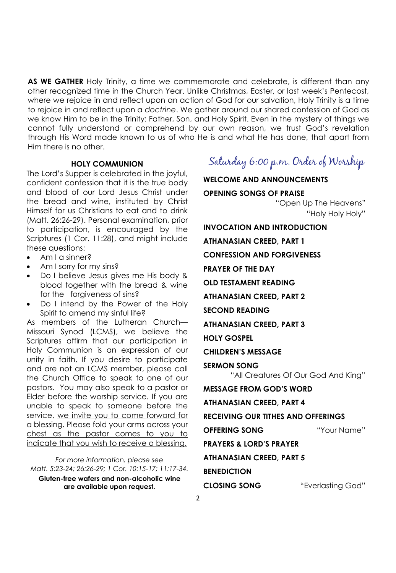**AS WE GATHER** Holy Trinity, a time we commemorate and celebrate, is different than any other recognized time in the Church Year. Unlike Christmas, Easter, or last week's Pentecost, where we rejoice in and reflect upon an action of God for our salvation, Holy Trinity is a time to rejoice in and reflect upon a *doctrine*. We gather around our shared confession of God as we know Him to be in the Trinity: Father, Son, and Holy Spirit. Even in the mystery of things we cannot fully understand or comprehend by our own reason, we trust God's revelation through His Word made known to us of who He is and what He has done, that apart from Him there is no other.

#### **HOLY COMMUNION**

The Lord's Supper is celebrated in the joyful, confident confession that it is the true body and blood of our Lord Jesus Christ under the bread and wine, instituted by Christ Himself for us Christians to eat and to drink (Matt. 26:26-29). Personal examination, prior to participation, is encouraged by the Scriptures (1 Cor. 11:28), and might include these questions:

- Am I a sinner?
- Am I sorry for my sins?
- Do I believe Jesus gives me His body & blood together with the bread & wine for the forgiveness of sins?
- Do I intend by the Power of the Holy Spirit to amend my sinful life?

As members of the Lutheran Church— Missouri Synod (LCMS), we believe the Scriptures affirm that our participation in Holy Communion is an expression of our unity in faith. If you desire to participate and are not an LCMS member, please call the Church Office to speak to one of our pastors. You may also speak to a pastor or Elder before the worship service. If you are unable to speak to someone before the service, we invite you to come forward for a blessing. Please fold your arms across your chest as the pastor comes to you to indicate that you wish to receive a blessing.

*For more information, please see Matt. 5:23-24; 26:26-29; 1 Cor. 10:15-17; 11:17-34.* 

**Gluten-free wafers and non-alcoholic wine are available upon request.**

Saturday 6:00 p.m. Order of Worship

**WELCOME AND ANNOUNCEMENTS OPENING SONGS OF PRAISE** "Open Up The Heavens" "Holy Holy Holy" **INVOCATION AND INTRODUCTION ATHANASIAN CREED, PART 1 CONFESSION AND FORGIVENESS PRAYER OF THE DAY OLD TESTAMENT READING ATHANASIAN CREED, PART 2 SECOND READING ATHANASIAN CREED, PART 3 HOLY GOSPEL CHILDREN'S MESSAGE SERMON SONG** "All Creatures Of Our God And King" **MESSAGE FROM GOD'S WORD ATHANASIAN CREED, PART 4 RECEIVING OUR TITHES AND OFFERINGS OFFERING SONG** "Your Name" **PRAYERS & LORD'S PRAYER ATHANASIAN CREED, PART 5 BENEDICTION CLOSING SONG** "Everlasting God"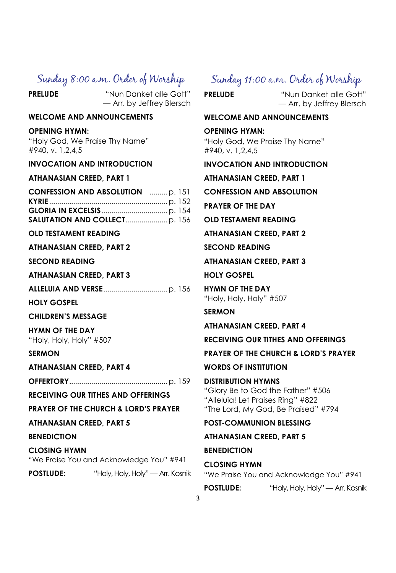### Sunday 8:00 a.m. Order of Worship

**PRELUDE** "Nun Danket alle Gott" — Arr. by Jeffrey Blersch

#### **WELCOME AND ANNOUNCEMENTS**

#### **OPENING HYMN:**

"Holy God, We Praise Thy Name" #940, v. 1,2,4,5

#### **INVOCATION AND INTRODUCTION**

#### **ATHANASIAN CREED, PART 1**

| <b>CONFESSION AND ABSOLUTION</b> p. 151 |  |
|-----------------------------------------|--|
|                                         |  |
|                                         |  |
|                                         |  |

#### **OLD TESTAMENT READING**

#### **ATHANASIAN CREED, PART 2**

#### **SECOND READING**

#### **ATHANASIAN CREED, PART 3**

**ALLELUIA AND VERSE**................................ p. 156

#### **HOLY GOSPEL**

#### **CHILDREN'S MESSAGE**

**HYMN OF THE DAY** "Holy, Holy, Holy" #507

#### **SERMON**

**ATHANASIAN CREED, PART 4**

**OFFERTORY**.................................................p. 159

#### **RECEIVING OUR TITHES AND OFFERINGS**

**PRAYER OF THE CHURCH & LORD'S PRAYER**

#### **ATHANASIAN CREED, PART 5**

#### **BENEDICTION**

#### **CLOSING HYMN**

"We Praise You and Acknowledge You" #941

**POSTLUDE:** "Holy, Holy, Holy" — Arr. Kosnik

### Sunday 11:00 a.m. Order of Worship

**PRELUDE** "Nun Danket alle Gott" — Arr. by Jeffrey Blersch

#### **WELCOME AND ANNOUNCEMENTS**

#### **OPENING HYMN:**

"Holy God, We Praise Thy Name" #940, v. 1,2,4,5

#### **INVOCATION AND INTRODUCTION**

#### **ATHANASIAN CREED, PART 1**

**CONFESSION AND ABSOLUTION**

**PRAYER OF THE DAY**

**OLD TESTAMENT READING**

**ATHANASIAN CREED, PART 2**

**SECOND READING**

**ATHANASIAN CREED, PART 3**

#### **HOLY GOSPEL**

**HYMN OF THE DAY** "Holy, Holy, Holy" #507

#### **SERMON**

#### **ATHANASIAN CREED, PART 4**

**RECEIVING OUR TITHES AND OFFERINGS**

#### **PRAYER OF THE CHURCH & LORD'S PRAYER**

#### **WORDS OF INSTITUTION**

**DISTRIBUTION HYMNS** "Glory Be to God the Father" #506 "Alleluia! Let Praises Ring" #822 "The Lord, My God, Be Praised" #794

#### **POST-COMMUNION BLESSING**

#### **ATHANASIAN CREED, PART 5**

#### **BENEDICTION**

**CLOSING HYMN**  "We Praise You and Acknowledge You" #941

**POSTLUDE:** "Holy, Holy, Holy" — Arr. Kosnik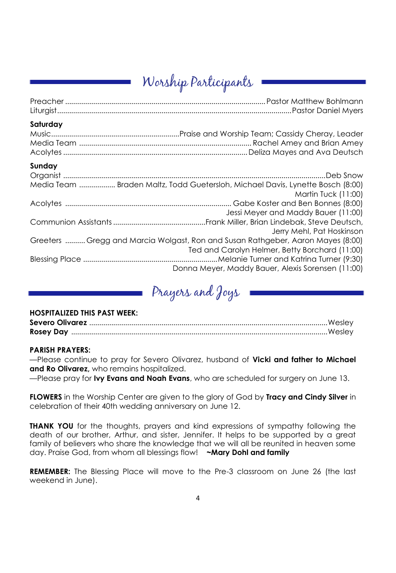# Worship Participants

| Saturday |                                                                                                                                   |
|----------|-----------------------------------------------------------------------------------------------------------------------------------|
| Sunday   | Media Team  Braden Maltz, Todd Guetersloh, Michael Davis, Lynette Bosch (8:00)                                                    |
|          | Martin Tuck (11:00)<br>Jessi Meyer and Maddy Bauer (11:00)                                                                        |
|          | Jerry Mehl, Pat Hoskinson                                                                                                         |
|          | Greeters  Gregg and Marcia Wolgast, Ron and Susan Rathgeber, Aaron Mayes (8:00)<br>Ted and Carolyn Helmer, Betty Borchard (11:00) |
|          | Donna Meyer, Maddy Bauer, Alexis Sorensen (11:00)                                                                                 |

## **HOSPITALIZED THIS PAST WEEK:**

| <b>Rosey Day</b> |  |
|------------------|--|

Prayers and Joys

#### **PARISH PRAYERS:**

—Please continue to pray for Severo Olivarez, husband of **Vicki and father to Michael and Ro Olivarez,** who remains hospitalized.

—Please pray for **Ivy Evans and Noah Evans**, who are scheduled for surgery on June 13.

**FLOWERS** in the Worship Center are given to the glory of God by **Tracy and Cindy Silver** in celebration of their 40th wedding anniversary on June 12.

**THANK YOU** for the thoughts, prayers and kind expressions of sympathy following the death of our brother, Arthur, and sister, Jennifer. It helps to be supported by a great family of believers who share the knowledge that we will all be reunited in heaven some day. Praise God, from whom all blessings flow! **~Mary Dohl and family**

**REMEMBER:** The Blessing Place will move to the Pre-3 classroom on June 26 (the last weekend in June).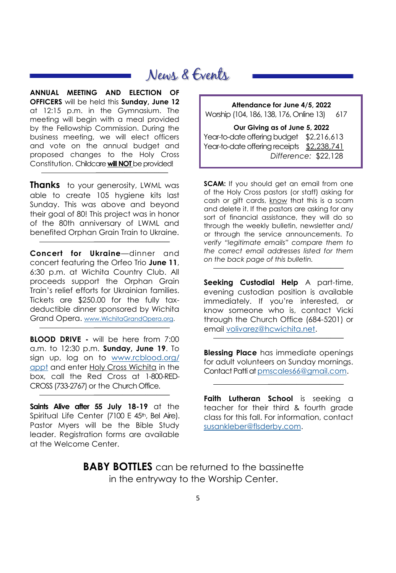### News & Events

**ANNUAL MEETING AND ELECTION OF OFFICERS** will be held this **Sunday, June 12**  at 12:15 p.m. in the Gymnasium. The meeting will begin with a meal provided by the Fellowship Commission. During the business meeting, we will elect officers and vote on the annual budget and proposed changes to the Holy Cross Constitution. Childcare **will NOT** be provided!

**Thanks** to your generosity, LWML was able to create 105 hygiene kits last Sunday. This was above and beyond their goal of 80! This project was in honor of the 80th anniversary of LWML and benefited Orphan Grain Train to Ukraine.

*\_\_\_\_\_\_\_\_\_\_\_\_\_\_\_\_\_\_\_\_\_\_\_\_\_\_\_\_\_\_\_\_\_\_\_\_\_\_*

*\_\_\_\_\_\_\_\_\_\_\_\_\_\_\_\_\_\_\_\_\_\_\_\_\_\_\_\_\_\_\_\_\_\_\_\_\_\_\_\_*

*\_\_\_\_\_\_\_\_\_\_\_\_\_\_\_\_\_\_\_\_\_\_\_\_\_\_\_\_\_\_\_\_\_\_\_\_\_\_\_\_*

*\_\_\_\_\_\_\_\_\_\_\_\_\_\_\_\_\_\_\_\_\_\_\_\_\_\_\_\_\_\_\_\_\_\_\_\_\_\_\_\_*

**Concert for Ukraine**—dinner and concert featuring the Orfeo Trio **June 11**, 6:30 p.m. at Wichita Country Club. All proceeds support the Orphan Grain Train's relief efforts for Ukrainian families. Tickets are \$250.00 for the fully taxdeductible dinner sponsored by Wichita Grand Opera. [www.WichitaGrandOpera.org.](http://www.WichitaGrandOpera.org)

**BLOOD DRIVE -** will be here from 7:00 a.m. to 12:30 p.m. **Sunday, June 19**. To sign up, log on to [www.rcblood.org/](http://www.rcblood.org/appt) [appt](http://www.rcblood.org/appt) and enter Holy Cross Wichita in the box, call the Red Cross at 1-800-RED-CROSS (733-2767) or the Church Office.

**Saints Alive after 55 July 18-19** at the Spiritual Life Center (7100 E 45<sup>th</sup>, Bel Aire). Pastor Myers will be the Bible Study leader. Registration forms are available at the Welcome Center.

**Attendance for June 4/5, 2022** Worship (104, 186, 138, 176, Online 13) 617 **Our Giving as of June 5, 2022** Year-to-date offering budget \$2,216,613 Year-to-date offering receipts \$2,238,741 *Difference:* \$22,128

**SCAM:** If you should get an email from one of the Holy Cross pastors (or staff) asking for cash or gift cards, know that this is a scam and delete it. If the pastors are asking for any sort of financial assistance, they will do so through the weekly bulletin, newsletter and/ or through the service announcements. *To verify "legitimate emails" compare them to the correct email addresses listed for them on the back page of this bulletin.*

**Seeking Custodial Help** A part-time, evening custodian position is available immediately. If you're interested, or know someone who is, contact Vicki through the Church Office (684-5201) or email [volivarez@hcwichita.net.](mailto:volivarez@hcwichita.net)

*\_\_\_\_\_\_\_\_\_\_\_\_\_\_\_\_\_\_\_\_\_\_\_\_\_\_\_\_\_\_\_\_\_\_\_\_\_\_\_\_*

*\_\_\_\_\_\_\_\_\_\_\_\_\_\_\_\_\_\_\_\_\_\_\_\_\_\_\_\_\_\_\_\_\_\_\_\_\_\_\_\_*

*\_\_\_\_\_\_\_\_\_\_\_\_\_\_\_\_\_\_\_\_\_\_\_\_\_\_\_\_\_\_\_\_\_\_\_\_\_\_\_\_*

**Blessing Place** has immediate openings for adult volunteers on Sunday mornings. Contact Patti at [pmscales66@gmail.com.](mailto:pmscales66@gmail.com)

**Faith Lutheran School** is seeking a teacher for their third & fourth grade class for this fall. For information, contact [susankleber@flsderby.com.](mailto:susankleber@flsderby.com)

**BABY BOTTLES** can be returned to the bassinette in the entryway to the Worship Center.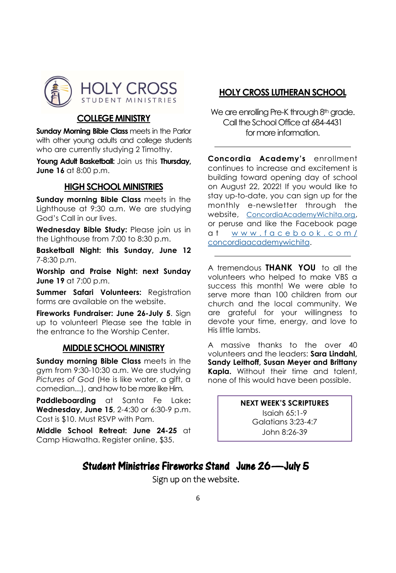

### **COLLEGE MINISTRY**

**Sunday Morning Bible Class** meets in the Parlor with other young adults and college students who are currently studying 2 Timothy.

**Young Adult Basketball:** Join us this **Thursday, June 16** at 8:00 p.m.

#### **HIGH SCHOOL MINISTRIES**

**Sunday morning Bible Class** meets in the Lighthouse at 9:30 a.m. We are studying God's Call in our lives.

**Wednesday Bible Study:** Please join us in the Lighthouse from 7:00 to 8:30 p.m.

**Basketball Night: this Sunday, June 12**  7-8:30 p.m.

**Worship and Praise Night: next Sunday June 19** at 7:00 p.m.

**Summer Safari Volunteers:** Registration forms are available on the website.

**Fireworks Fundraiser: June 26-July 5**. Sign up to volunteer! Please see the table in the entrance to the Worship Center.

#### **MIDDLE SCHOOL MINISTRY**

**Sunday morning Bible Class** meets in the gym from 9:30-10:30 a.m. We are studying *Pictures of God* (He is like water, a gift, a comedian...), and how to be more like Him.

**Paddleboarding** at Santa Fe Lake**: Wednesday, June 15**, 2-4:30 or 6:30-9 p.m. Cost is \$10. Must RSVP with Pam.

**Middle School Retreat: June 24-25** at Camp Hiawatha. Register online, \$35.

### **HOLY CROSS LUTHERAN SCHOOL**

We are enrolling Pre-K through 8th grade. Call the School Office at 684-4431 for more information.

**Concordia Academy's** enrollment continues to increase and excitement is building toward opening day of school on August 22, 2022! If you would like to stay up-to-date, you can sign up for the monthly e-newsletter through the website, <ConcordiaAcademyWichita.org>, or peruse and like the Facebook page at www.facebook.com/ [concordiaacademywichita.](https://nam12.safelinks.protection.outlook.com/?url=http%3A%2F%2Fwww.facebook.com%2Fconcordiaacademywichita&data=05%7C01%7CLWagner%40hcwichita.net%7C0de5d7e17b694ff3273008da4313bb9a%7Ceadd45807d07468b8226d70a31c29e39%7C1%7C0%7C637896049273971648%7CUnknown%7CT)

A tremendous **THANK YOU** to all the volunteers who helped to make VBS a success this month! We were able to serve more than 100 children from our church and the local community. We are grateful for your willingness to devote your time, energy, and love to His little lambs.

A massive thanks to the over 40 volunteers and the leaders: **Sara Lindahl, Sandy Leithoff, Susan Meyer and Brittany Kapla.** Without their time and talent, none of this would have been possible.

#### **NEXT WEEK'S SCRIPTURES**

Isaiah 65:1-9 Galatians 3:23-4:7 John 8:26-39

### Student Ministries Fireworks Stand June 26—July 5

Sign up on the website.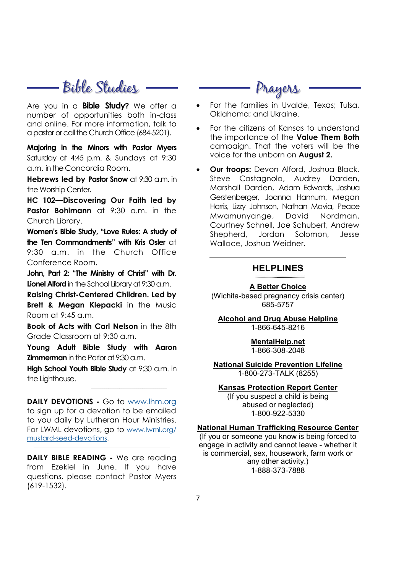# - Bible Studies —— ————— Prayers

Are you in a **Bible Study?** We offer a number of opportunities both in-class and online. For more information, talk to a pastor or call the Church Office (684-5201).

**Majoring in the Minors with Pastor Myers**  Saturday at 4:45 p.m. & Sundays at 9:30 a.m. in the Concordia Room.

**Hebrews led by Pastor Snow** at 9:30 a.m. in the Worship Center.

**HC 102—Discovering Our Faith led by Pastor Bohlmann** at 9:30 a.m. in the Church Library.

**Women's Bible Study, "Love Rules: A study of the Ten Commandments" with Kris Osler** at 9:30 a.m. in the Church Office Conference Room.

**John, Part 2: "The Ministry of Christ" with Dr. Lionel Alford** in the School Library at 9:30 a.m.

**Raising Christ-Centered Children. Led by Brett & Megan Klepacki** in the Music Room at 9:45 a.m.

**Book of Acts with Carl Nelson** in the 8th Grade Classroom at 9:30 a.m.

**Young Adult Bible Study with Aaron Zimmerman** in the Parlor at 9:30 a.m.

**High School Youth Bible Study** at 9:30 a.m. in the Lighthouse.

*\_\_\_\_\_\_\_\_\_\_\_\_\_\_\_\_\_\_\_\_\_\_\_\_\_\_\_\_\_\_\_\_\_\_\_\_\_\_\_\_*

**DAILY DEVOTIONS -** Go to [www.lhm.org](http://www.lhm.org) to sign up for a devotion to be emailed to you daily by Lutheran Hour Ministries. For LWML devotions, go to [www.lwml.org/](http://www.lwml.org/mustard-seed-devotions) [mustard-seed-devotions.](http://www.lwml.org/mustard-seed-devotions)

**DAILY BIBLE READING -** We are reading from Ezekiel in June. If you have questions, please contact Pastor Myers (619-1532).

- For the families in Uvalde, Texas; Tulsa, Oklahoma; and Ukraine.
- For the citizens of Kansas to understand the importance of the **Value Them Both**  campaign. That the voters will be the voice for the unborn on **August 2.**
- **Our troops:** Devon Alford, Joshua Black, Steve Castagnola, Audrey Darden, Marshall Darden, Adam Edwards, Joshua Gerstenberger, Joanna Hannum, Megan Harris, Lizzy Johnson, Nathan Mavia, Peace Mwamunyange, David Nordman, Courtney Schnell, Joe Schubert, Andrew Shepherd, Jordan Solomon, Jesse Wallace, Joshua Weidner.

#### **HELPLINES**

#### **A Better Choice**

(Wichita-based pregnancy crisis center) 685-5757

**Alcohol and Drug Abuse Helpline** 1-866-645-8216

#### **MentalHelp.net** 1-866-308-2048

**National Suicide Prevention Lifeline** 1-800-273-TALK (8255)

#### **Kansas Protection Report Center**

(If you suspect a child is being abused or neglected) 1-800-922-5330

#### **National Human Trafficking Resource Center**

(If you or someone you know is being forced to engage in activity and cannot leave - whether it is commercial, sex, housework, farm work or any other activity.) 1-888-373-7888